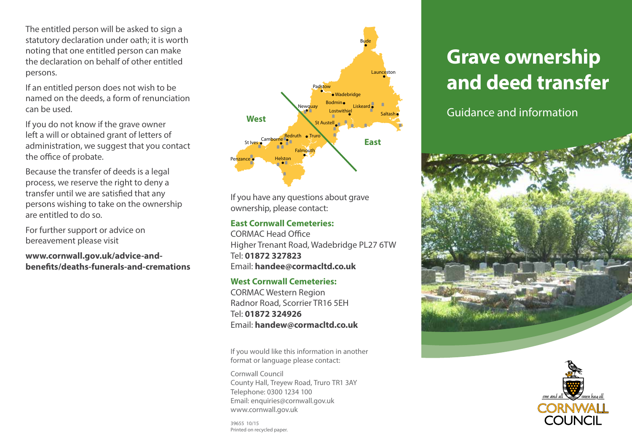The entitled person will be asked to sign a statutory declaration under oath; it is worth noting that one entitled person can make the declaration on behalf of other entitled persons.

If an entitled person does not wish to be named on the deeds, a form of renunciation can be used.

If you do not know if the grave owner left a will or obtained grant of letters of administration, we suggest that you contact the office of probate.

Because the transfer of deeds is a legal process, we reserve the right to deny a transfer until we are satisfied that any persons wishing to take on the ownership are entitled to do so.

For further support or advice on bereavement please visit

**www.cornwall.gov.uk/advice-andbenefits/deaths-funerals-and-cremations**



If you have any questions about grave ownership, please contact:

#### **East Cornwall Cemeteries:**

CORMAC Head Office Higher Trenant Road, Wadebridge PL27 6TW Tel: **01872 327823** Email: **handee@cormacltd.co.uk**

#### **West Cornwall Cemeteries:**

CORMAC Western Region Radnor Road, Scorrier TR16 5EH Tel: **01872 324926** Email: **handew@cormacltd.co.uk**

If you would like this information in another format or language please contact:

Cornwall Council County Hall, Treyew Road, Truro TR1 3AY Telephone: 0300 1234 100 Email: enquiries@cornwall.gov.uk www.cornwall.gov.uk

**Grave ownership and deed transfer**

Guidance and information





39655 10/15 Printed on recycled paper.